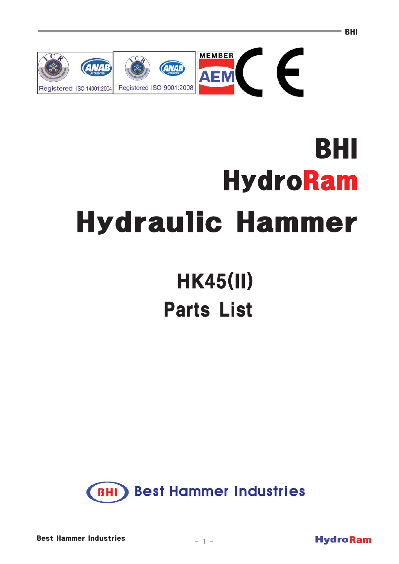

# BHI **HydroRam Hydraulic Hammer**

# **HK45(II) Parts List**





**BHI**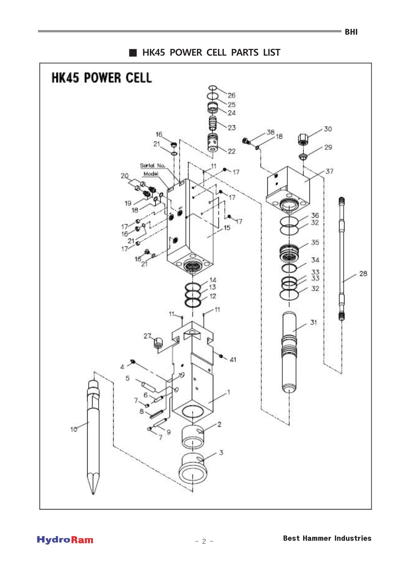HK45 POWER CELL PARTS LIST

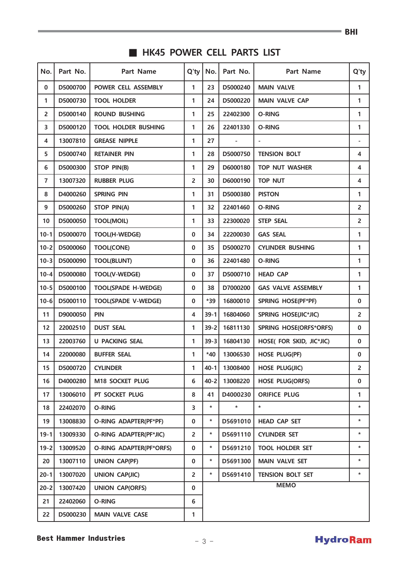### HK45 POWER CELL PARTS LIST

| No.            | Part No. | <b>Part Name</b>           | $Q'$ ty        | No.<br>Part No.<br>Part Name                   |                                                  | $Q'$ ty                 |                          |  |  |
|----------------|----------|----------------------------|----------------|------------------------------------------------|--------------------------------------------------|-------------------------|--------------------------|--|--|
| 0              | D5000700 | POWER CELL ASSEMBLY        | 1              | 23<br>D5000240<br><b>MAIN VALVE</b>            |                                                  |                         | 1                        |  |  |
| 1              | D5000730 | <b>TOOL HOLDER</b>         | 1              | 24                                             | D5000220<br><b>MAIN VALVE CAP</b>                |                         | 1                        |  |  |
| $\overline{2}$ | D5000140 | <b>ROUND BUSHING</b>       | 1              | 25                                             | 22402300                                         | O-RING                  |                          |  |  |
| 3              | D5000120 | <b>TOOL HOLDER BUSHING</b> | 1              | 26                                             | 22401330                                         | O-RING                  | 1                        |  |  |
| 4              | 13007810 | <b>GREASE NIPPLE</b>       | 1              | 27                                             |                                                  |                         | $\overline{\phantom{a}}$ |  |  |
| 5              | D5000740 | <b>RETAINER PIN</b>        | 1              | 28                                             | D5000750                                         | <b>TENSION BOLT</b>     | 4                        |  |  |
| 6              | D5000300 | STOP PIN(B)                | 1              | 29                                             | D6000180                                         | <b>TOP NUT WASHER</b>   | 4                        |  |  |
| $\overline{7}$ | 13007320 | <b>RUBBER PLUG</b>         | 2              | 30                                             | D6000190                                         | TOP NUT                 | 4                        |  |  |
| 8              | D4000260 | <b>SPRING PIN</b>          | 1              | 31                                             | D5000380                                         | <b>PISTON</b>           | 1                        |  |  |
| 9              | D5000260 | <b>STOP PIN(A)</b>         | 1              | 32                                             | 22401460                                         | O-RING                  | $\overline{2}$           |  |  |
| 10             | D5000050 | <b>TOOL(MOIL)</b>          | 1              | 33                                             | 22300020                                         | <b>STEP SEAL</b>        | $\overline{2}$           |  |  |
| $10 - 1$       | D5000070 | TOOL(H-WEDGE)              | 0              | 34                                             | 22200030                                         | <b>GAS SEAL</b>         | 1                        |  |  |
| $10-2$         | D5000060 | <b>TOOL(CONE)</b>          | $\mathbf{0}$   | 35                                             | D5000270                                         | <b>CYLINDER BUSHING</b> | 1                        |  |  |
| $10-3$         | D5000090 | <b>TOOL(BLUNT)</b>         | 0              | 36                                             | 22401480<br>O-RING                               |                         | 1                        |  |  |
| $10 - 4$       | D5000080 | TOOL(V-WEDGE)              | 0              | 37                                             | D5000710<br><b>HEAD CAP</b>                      |                         | 1                        |  |  |
| $10 - 5$       | D5000100 | <b>TOOL(SPADE H-WEDGE)</b> | $\mathbf{0}$   | 38                                             | D7000200<br><b>GAS VALVE ASSEMBLY</b>            |                         | 1                        |  |  |
| $10-6$         | D5000110 | <b>TOOL(SPADE V-WEDGE)</b> | 0              | *39                                            | 16800010<br>SPRING HOSE(PF*PF)                   |                         | $\mathbf 0$              |  |  |
| 11             | D9000050 | <b>PIN</b>                 | 4              | 16804060<br>SPRING HOSE(JIC*JIC)<br>$39 - 1$   |                                                  | $\overline{2}$          |                          |  |  |
| 12             | 22002510 | <b>DUST SEAL</b>           | 1              |                                                | $39 - 2$<br>16811130<br>SPRING HOSE(ORFS*ORFS)   |                         | $\mathbf 0$              |  |  |
| 13             | 22003760 | <b>U PACKING SEAL</b>      | 1              |                                                | $39 - 3$<br>16804130<br>HOSE( FOR SKID, JIC*JIC) |                         | $\mathbf 0$              |  |  |
| 14             | 22000080 | <b>BUFFER SEAL</b>         | 1              | $*40$                                          | 13006530<br><b>HOSE PLUG(PF)</b>                 |                         | $\mathbf 0$              |  |  |
| 15             | D5000720 | <b>CYLINDER</b>            | 1              | $40 - 1$<br>13008400<br><b>HOSE PLUG(JIC)</b>  |                                                  | $\overline{2}$          |                          |  |  |
| 16             | D4000280 | M18 SOCKET PLUG            | 6              |                                                | $40 - 21$<br>13008220<br><b>HOSE PLUG(ORFS)</b>  |                         | $\mathbf 0$              |  |  |
| 17             | 13006010 | PT SOCKET PLUG             | 8              | D4000230<br><b>ORIFICE PLUG</b><br>41          |                                                  | 1                       |                          |  |  |
| 18             | 22402070 | O-RING                     | 3              | $\star$<br>$\star$<br>*                        |                                                  | $\star$                 |                          |  |  |
| 19             | 13008830 | O-RING ADAPTER(PF*PF)      | $\mathbf{0}$   | $\star$<br><b>HEAD CAP SET</b><br>D5691010     |                                                  | $\star$                 |                          |  |  |
| $19 - 1$       | 13009330 | O-RING ADAPTER(PF*JIC)     | $\overline{2}$ | *<br>D5691110<br><b>CYLINDER SET</b>           |                                                  | $\ast$                  |                          |  |  |
| $19 - 2$       | 13009520 | O-RING ADAPTER(PF*ORFS)    | $\mathbf{0}$   | $\star$<br>D5691210<br><b>TOOL HOLDER SET</b>  |                                                  | $\ast$                  |                          |  |  |
| 20             | 13007110 | <b>UNION CAP(PF)</b>       | $\mathbf{0}$   | $\star$<br>D5691300<br><b>MAIN VALVE SET</b>   |                                                  | $\star$                 |                          |  |  |
| $20 - 1$       | 13007020 | <b>UNION CAP(JIC)</b>      | $\overline{2}$ | $\star$<br>D5691410<br><b>TENSION BOLT SET</b> |                                                  |                         |                          |  |  |
| $20 - 2$       | 13007420 | <b>UNION CAP(ORFS)</b>     | 0              | <b>MEMO</b>                                    |                                                  |                         |                          |  |  |
| 21             | 22402060 | O-RING                     | 6              |                                                |                                                  |                         |                          |  |  |
| 22             | D5000230 | <b>MAIN VALVE CASE</b>     | 1              |                                                |                                                  |                         |                          |  |  |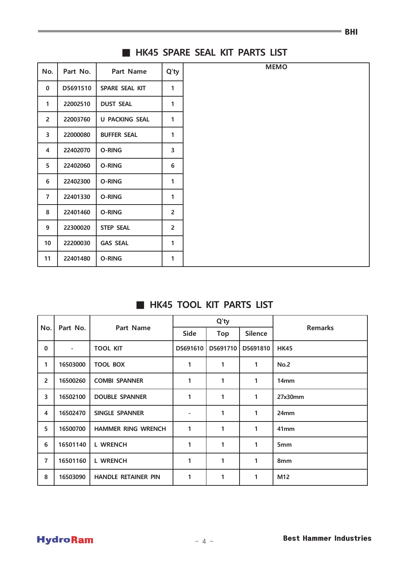| No.             | Part No. | Part Name             | Q'ty           |
|-----------------|----------|-----------------------|----------------|
|                 |          |                       |                |
| $\mathbf{0}$    | D5691510 | SPARE SEAL KIT        | 1              |
| 1               | 22002510 | <b>DUST SEAL</b>      | 1              |
| $\overline{2}$  | 22003760 | <b>U PACKING SEAL</b> | 1              |
| 3               | 22000080 | <b>BUFFER SEAL</b>    | 1              |
| $\overline{4}$  | 22402070 | O-RING                | 3              |
| 5               | 22402060 | O-RING                | 6              |
| 6               | 22402300 | O-RING                | 1              |
| $\overline{7}$  | 22401330 | O-RING                | 1              |
| 8               | 22401460 | O-RING                | $\overline{2}$ |
| 9               | 22300020 | <b>STEP SEAL</b>      | $\overline{2}$ |
| 10 <sup>°</sup> | 22200030 | <b>GAS SEAL</b>       | 1              |
| 11              | 22401480 | O-RING                | 1              |

#### HK45 SPARE SEAL KIT PARTS LIST

#### HK45 TOOL KIT PARTS LIST

| No.            | Part No.       | Part Name                  |                          | Q'ty       |                |                  |
|----------------|----------------|----------------------------|--------------------------|------------|----------------|------------------|
|                |                |                            | <b>Side</b>              | <b>Top</b> | <b>Silence</b> | <b>Remarks</b>   |
| $\mathbf 0$    | $\blacksquare$ | <b>TOOL KIT</b>            | D5691610                 | D5691710   | D5691810       | <b>HK45</b>      |
| 1              | 16503000       | <b>TOOL BOX</b>            | 1                        | 1          | 1              | No.2             |
| $\overline{2}$ | 16500260       | <b>COMBI SPANNER</b>       | 1                        | 1          | 1              | 14 <sub>mm</sub> |
| 3              | 16502100       | <b>DOUBLE SPANNER</b>      | 1                        | 1          | 1              | 27x30mm          |
| 4              | 16502470       | <b>SINGLE SPANNER</b>      | $\overline{\phantom{a}}$ | 1          | 1              | 24mm             |
| 5              | 16500700       | <b>HAMMER RING WRENCH</b>  | 1                        | 1          | 1              | 41mm             |
| 6              | 16501140       | <b>L WRENCH</b>            | 1                        | 1          | 1              | 5 <sub>mm</sub>  |
| $\overline{7}$ | 16501160       | <b>L WRENCH</b>            | 1                        | 1          | 1              | 8mm              |
| 8              | 16503090       | <b>HANDLE RETAINER PIN</b> | 1                        | 1          | 1              | M12              |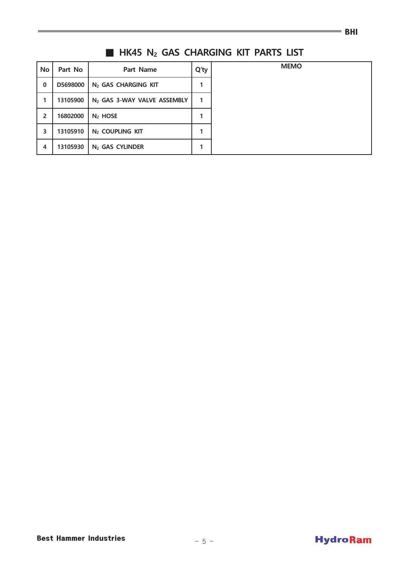## HK45 N<sub>2</sub> GAS CHARGING KIT PARTS LIST

| <b>No</b>               | Part No  | Part Name                               | $Q'$ ty |
|-------------------------|----------|-----------------------------------------|---------|
| $\mathbf 0$             | D5698000 | N <sub>2</sub> GAS CHARGING KIT         |         |
|                         | 13105900 | N <sub>2</sub> GAS 3-WAY VALVE ASSEMBLY |         |
| 2                       | 16802000 | $N2$ HOSE                               |         |
| 3                       | 13105910 | N <sub>2</sub> COUPLING KIT             |         |
| $\overline{\mathbf{4}}$ | 13105930 | N <sub>2</sub> GAS CYLINDER             |         |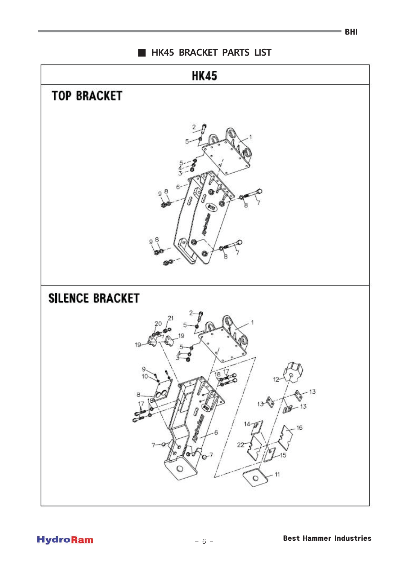

 $=$  BHI